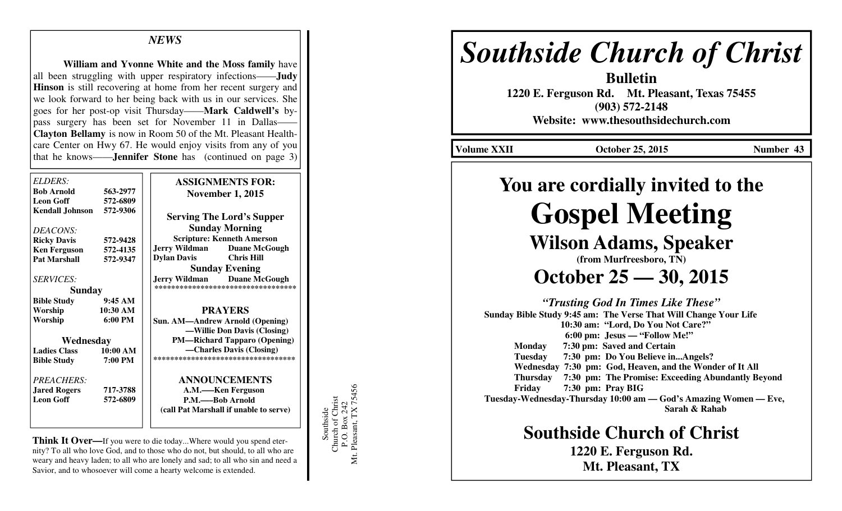### *NEWS*

 **William and Yvonne White and the Moss family** have all been struggling with upper respiratory infections——**Judy Hinson** is still recovering at home from her recent surgery and we look forward to her being back with us in our services. She goes for her post-op visit Thursday——**Mark Caldwell's** bypass surgery has been set for November 11 in Dallas—— **Clayton Bellamy** is now in Room 50 of the Mt. Pleasant Healthcare Center on Hwy 67. He would enjoy visits from any of you that he knows——**Jennifer Stone** has (continued on page 3)

| ELDERS:<br><b>Bob Arnold</b> | 563-2977          | <b>ASSIGNMENTS FOR:</b>                 |
|------------------------------|-------------------|-----------------------------------------|
| <b>Leon Goff</b>             | 572-6809          | <b>November 1, 2015</b>                 |
| <b>Kendall Johnson</b>       | 572-9306          | <b>Serving The Lord's Supper</b>        |
| DEACONS:                     |                   | <b>Sunday Morning</b>                   |
| <b>Ricky Davis</b>           | 572-9428          | <b>Scripture: Kenneth Amerson</b>       |
| <b>Ken Ferguson</b>          | 572-4135          | <b>Duane McGough</b><br>Jerry Wildman   |
| <b>Pat Marshall</b>          | 572-9347          | <b>Chris Hill</b><br><b>Dylan Davis</b> |
|                              |                   | <b>Sunday Evening</b>                   |
| <b>SERVICES:</b>             |                   | <b>Jerry Wildman</b> Duane McGough      |
| Sunday                       |                   | *********************************       |
| <b>Bible Study</b>           | 9:45AM            |                                         |
| Worship                      | 10:30 AM          | <b>PRAYERS</b>                          |
| Worship                      | $6:00 \text{ PM}$ | Sun. AM—Andrew Arnold (Opening)         |
|                              |                   | -Willie Don Davis (Closing)             |
| Wednesday                    |                   | <b>PM—Richard Tapparo (Opening)</b>     |
| <b>Ladies Class</b>          | 10:00 AM          | -Charles Davis (Closing)                |
| <b>Bible Study</b>           | 7:00 PM           | ***********************************     |
| PREACHERS:                   |                   | <b>ANNOUNCEMENTS</b>                    |
| <b>Jared Rogers</b>          | 717-3788          | A.M.—–Ken Ferguson                      |
| <b>Leon Goff</b>             | 572-6809          | P.M.-Bob Arnold                         |
|                              |                   | (call Pat Marshall if unable to serve)  |
|                              |                   |                                         |

**Think It Over—**If you were to die today...Where would you spend eternity? To all who love God, and to those who do not, but should, to all who are weary and heavy laden; to all who are lonely and sad; to all who sin and need a Savior, and to whosoever will come a hearty welcome is extended.

Southside<br>Church of Christ<br>P.O. Box 242<br>t. Pleasant, TX 75456 Mt. Pleasant, TX 75456 Church of Christ P.O. Box 242 Southside Mt.

# *Southside Church of Christ*

**Bulletin 1220 E. Ferguson Rd. Mt. Pleasant, Texas 75455 (903) 572-2148 Website: www.thesouthsidechurch.com** 

**Volume XXII October 25, 2015 Number 43** 

# **You are cordially invited to theGospel Meeting**

 **Wilson Adams, Speaker (from Murfreesboro, TN)October 25 — 30, 2015** 

*"Trusting God In Times Like These"*   **Sunday Bible Study 9:45 am: The Verse That Will Change Your Life 10:30 am: "Lord, Do You Not Care?" 6:00 pm: Jesus — "Follow Me!" Monday 7:30 pm: Saved and Certain Tuesday 7:30 pm: Do You Believe in...Angels? Wednesday 7:30 pm: God, Heaven, and the Wonder of It All Thursday 7:30 pm: The Promise: Exceeding Abundantly Beyond Friday 7:30 pm: Pray BIG Tuesday-Wednesday-Thursday 10:00 am — God's Amazing Women — Eve,Sarah & Rahab** 

**Southside Church of Christ** 

**1220 E. Ferguson Rd. Mt. Pleasant, TX**